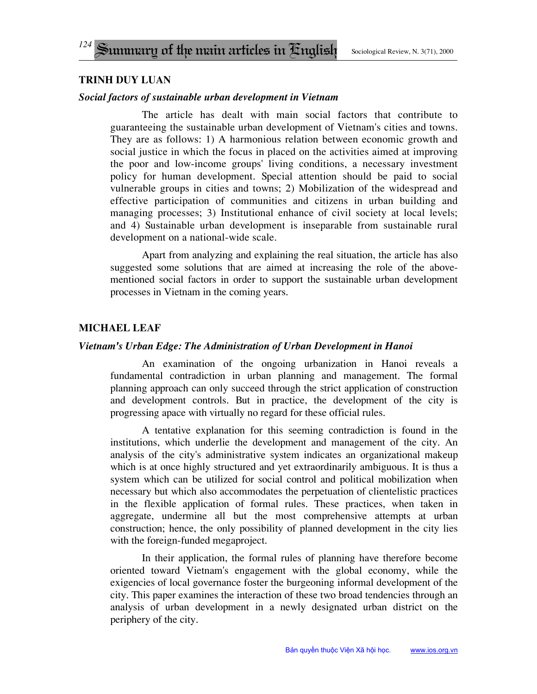# **trinh duy luan**

## *Social factors of sustainable urban development in Vietnam*

The article has dealt with main social factors that contribute to guaranteeing the sustainable urban development of Vietnam's cities and towns. They are as follows: 1) A harmonious relation between economic growth and social justice in which the focus in placed on the activities aimed at improving the poor and low-income groups' living conditions, a necessary investment policy for human development. Special attention should be paid to social vulnerable groups in cities and towns; 2) Mobilization of the widespread and effective participation of communities and citizens in urban building and managing processes; 3) Institutional enhance of civil society at local levels; and 4) Sustainable urban development is inseparable from sustainable rural development on a national-wide scale.

Apart from analyzing and explaining the real situation, the article has also suggested some solutions that are aimed at increasing the role of the abovementioned social factors in order to support the sustainable urban development processes in Vietnam in the coming years.

# **Michael Leaf**

### *Vietnam's Urban Edge: The Administration of Urban Development in Hanoi*

An examination of the ongoing urbanization in Hanoi reveals a fundamental contradiction in urban planning and management. The formal planning approach can only succeed through the strict application of construction and development controls. But in practice, the development of the city is progressing apace with virtually no regard for these official rules.

A tentative explanation for this seeming contradiction is found in the institutions, which underlie the development and management of the city. An analysis of the city's administrative system indicates an organizational makeup which is at once highly structured and yet extraordinarily ambiguous. It is thus a system which can be utilized for social control and political mobilization when necessary but which also accommodates the perpetuation of clientelistic practices in the flexible application of formal rules. These practices, when taken in aggregate, undermine all but the most comprehensive attempts at urban construction; hence, the only possibility of planned development in the city lies with the foreign-funded megaproject.

In their application, the formal rules of planning have therefore become oriented toward Vietnam's engagement with the global economy, while the exigencies of local governance foster the burgeoning informal development of the city. This paper examines the interaction of these two broad tendencies through an analysis of urban development in a newly designated urban district on the periphery of the city.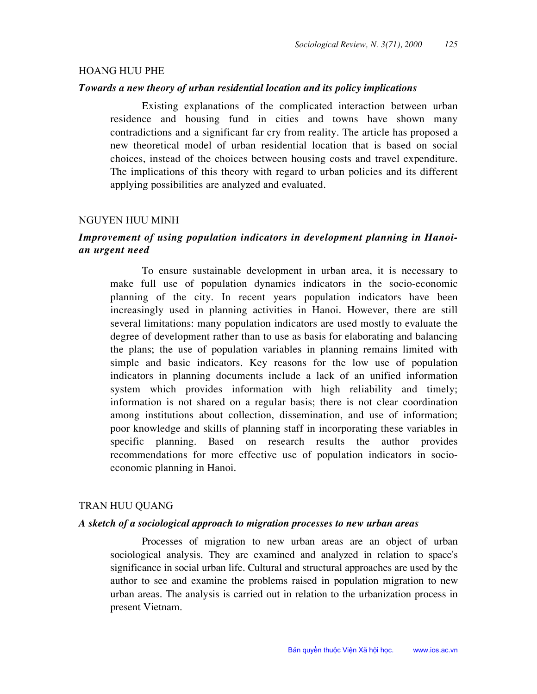### **HOANG HUU PHE**

### Towards a new theory of urban residential location and its policy implications

Existing explanations of the complicated interaction between urban residence and housing fund in cities and towns have shown many contradictions and a significant far cry from reality. The article has proposed a new theoretical model of urban residential location that is based on social choices, instead of the choices between housing costs and travel expenditure. The implications of this theory with regard to urban policies and its different applying possibilities are analyzed and evaluated.

#### **NGUYEN HUU MINH**

## Improvement of using population indicators in development planning in Hanoian urgent need

To ensure sustainable development in urban area, it is necessary to make full use of population dynamics indicators in the socio-economic planning of the city. In recent years population indicators have been increasingly used in planning activities in Hanoi. However, there are still several limitations: many population indicators are used mostly to evaluate the degree of development rather than to use as basis for elaborating and balancing the plans; the use of population variables in planning remains limited with simple and basic indicators. Key reasons for the low use of population indicators in planning documents include a lack of an unified information system which provides information with high reliability and timely; information is not shared on a regular basis; there is not clear coordination among institutions about collection, dissemination, and use of information; poor knowledge and skills of planning staff in incorporating these variables in specific planning. Based on research results the author provides recommendations for more effective use of population indicators in socioeconomic planning in Hanoi.

### TRAN HUU QUANG

#### A sketch of a sociological approach to migration processes to new urban areas

Processes of migration to new urban areas are an object of urban sociological analysis. They are examined and analyzed in relation to space's significance in social urban life. Cultural and structural approaches are used by the author to see and examine the problems raised in population migration to new urban areas. The analysis is carried out in relation to the urbanization process in present Vietnam.